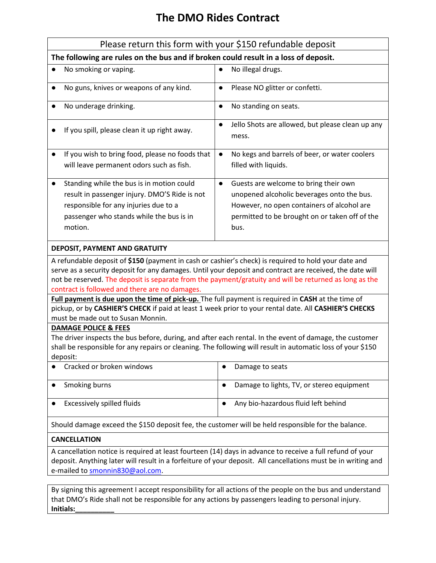## **The DMO Rides Contract**

|                                                                                                                                                                                                                                                                                                                                                                              | Please return this form with your \$150 refundable deposit                                                                                                                                               |  |  |  |
|------------------------------------------------------------------------------------------------------------------------------------------------------------------------------------------------------------------------------------------------------------------------------------------------------------------------------------------------------------------------------|----------------------------------------------------------------------------------------------------------------------------------------------------------------------------------------------------------|--|--|--|
| The following are rules on the bus and if broken could result in a loss of deposit.                                                                                                                                                                                                                                                                                          |                                                                                                                                                                                                          |  |  |  |
| No smoking or vaping.                                                                                                                                                                                                                                                                                                                                                        | No illegal drugs.                                                                                                                                                                                        |  |  |  |
| No guns, knives or weapons of any kind.<br>$\bullet$                                                                                                                                                                                                                                                                                                                         | Please NO glitter or confetti.<br>$\bullet$                                                                                                                                                              |  |  |  |
| No underage drinking.<br>$\bullet$                                                                                                                                                                                                                                                                                                                                           | No standing on seats.<br>$\bullet$                                                                                                                                                                       |  |  |  |
| If you spill, please clean it up right away.                                                                                                                                                                                                                                                                                                                                 | Jello Shots are allowed, but please clean up any<br>$\bullet$<br>mess.                                                                                                                                   |  |  |  |
| If you wish to bring food, please no foods that<br>will leave permanent odors such as fish.                                                                                                                                                                                                                                                                                  | No kegs and barrels of beer, or water coolers<br>$\bullet$<br>filled with liquids.                                                                                                                       |  |  |  |
| Standing while the bus is in motion could<br>$\bullet$<br>result in passenger injury. DMO'S Ride is not<br>responsible for any injuries due to a<br>passenger who stands while the bus is in<br>motion.                                                                                                                                                                      | Guests are welcome to bring their own<br>$\bullet$<br>unopened alcoholic beverages onto the bus.<br>However, no open containers of alcohol are<br>permitted to be brought on or taken off of the<br>bus. |  |  |  |
| DEPOSIT, PAYMENT AND GRATUITY                                                                                                                                                                                                                                                                                                                                                |                                                                                                                                                                                                          |  |  |  |
| A refundable deposit of \$150 (payment in cash or cashier's check) is required to hold your date and<br>serve as a security deposit for any damages. Until your deposit and contract are received, the date will<br>not be reserved. The deposit is separate from the payment/gratuity and will be returned as long as the<br>contract is followed and there are no damages. |                                                                                                                                                                                                          |  |  |  |
| Full payment is due upon the time of pick-up. The full payment is required in CASH at the time of<br>pickup, or by CASHIER'S CHECK if paid at least 1 week prior to your rental date. All CASHIER'S CHECKS<br>must be made out to Susan Monnin.                                                                                                                              |                                                                                                                                                                                                          |  |  |  |
| <b>DAMAGE POLICE &amp; FEES</b>                                                                                                                                                                                                                                                                                                                                              |                                                                                                                                                                                                          |  |  |  |
| The driver inspects the bus before, during, and after each rental. In the event of damage, the customer<br>shall be responsible for any repairs or cleaning. The following will result in automatic loss of your \$150<br>deposit:                                                                                                                                           |                                                                                                                                                                                                          |  |  |  |
| Cracked or broken windows                                                                                                                                                                                                                                                                                                                                                    | Damage to seats                                                                                                                                                                                          |  |  |  |
| Smoking burns<br>$\bullet$                                                                                                                                                                                                                                                                                                                                                   | Damage to lights, TV, or stereo equipment<br>$\bullet$                                                                                                                                                   |  |  |  |
| Excessively spilled fluids                                                                                                                                                                                                                                                                                                                                                   | Any bio-hazardous fluid left behind<br>$\bullet$                                                                                                                                                         |  |  |  |
| Should damage exceed the \$150 deposit fee, the customer will be held responsible for the balance.                                                                                                                                                                                                                                                                           |                                                                                                                                                                                                          |  |  |  |
| <b>CANCELLATION</b>                                                                                                                                                                                                                                                                                                                                                          |                                                                                                                                                                                                          |  |  |  |
| A cancellation notice is required at least fourteen (14) days in advance to receive a full refund of your<br>e-mailed to smonnin830@aol.com.                                                                                                                                                                                                                                 | deposit. Anything later will result in a forfeiture of your deposit. All cancellations must be in writing and                                                                                            |  |  |  |

By signing this agreement I accept responsibility for all actions of the people on the bus and understand that DMO's Ride shall not be responsible for any actions by passengers leading to personal injury. **Initials:\_\_\_\_\_\_\_\_\_\_**